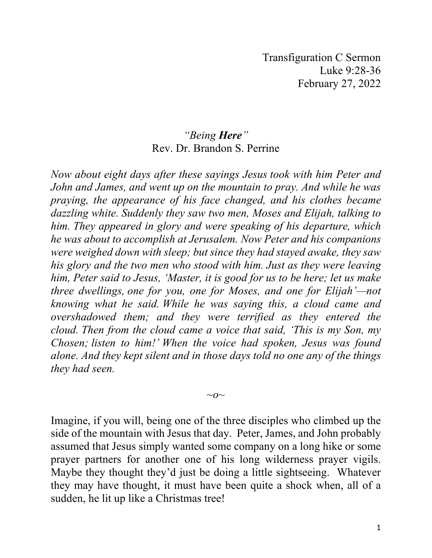## *"Being Here"* Rev. Dr. Brandon S. Perrine

*Now about eight days after these sayings Jesus took with him Peter and John and James, and went up on the mountain to pray. And while he was praying, the appearance of his face changed, and his clothes became dazzling white. Suddenly they saw two men, Moses and Elijah, talking to him. They appeared in glory and were speaking of his departure, which he was about to accomplish at Jerusalem. Now Peter and his companions were weighed down with sleep; but since they had stayed awake, they saw his glory and the two men who stood with him. Just as they were leaving him, Peter said to Jesus, 'Master, it is good for us to be here; let us make three dwellings, one for you, one for Moses, and one for Elijah'—not knowing what he said. While he was saying this, a cloud came and overshadowed them; and they were terrified as they entered the cloud. Then from the cloud came a voice that said, 'This is my Son, my Chosen; listen to him!' When the voice had spoken, Jesus was found alone. And they kept silent and in those days told no one any of the things they had seen.*

*~o~*

Imagine, if you will, being one of the three disciples who climbed up the side of the mountain with Jesus that day. Peter, James, and John probably assumed that Jesus simply wanted some company on a long hike or some prayer partners for another one of his long wilderness prayer vigils. Maybe they thought they'd just be doing a little sightseeing. Whatever they may have thought, it must have been quite a shock when, all of a sudden, he lit up like a Christmas tree!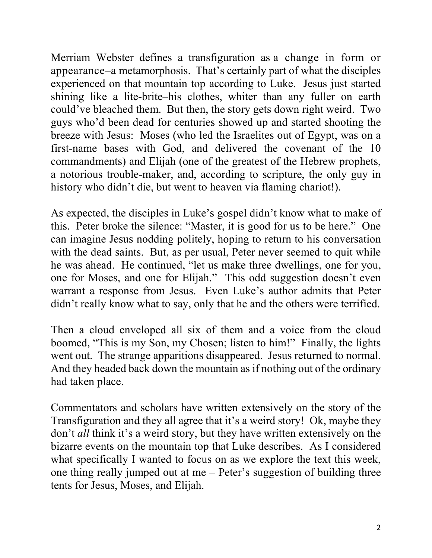Merriam Webster defines a transfiguration as a change in form or appearance–a metamorphosis. That's certainly part of what the disciples experienced on that mountain top according to Luke. Jesus just started shining like a lite-brite–his clothes, whiter than any fuller on earth could've bleached them. But then, the story gets down right weird. Two guys who'd been dead for centuries showed up and started shooting the breeze with Jesus: Moses (who led the Israelites out of Egypt, was on a first-name bases with God, and delivered the covenant of the 10 commandments) and Elijah (one of the greatest of the Hebrew prophets, a notorious trouble-maker, and, according to scripture, the only guy in history who didn't die, but went to heaven via flaming chariot!).

As expected, the disciples in Luke's gospel didn't know what to make of this. Peter broke the silence: "Master, it is good for us to be here." One can imagine Jesus nodding politely, hoping to return to his conversation with the dead saints. But, as per usual, Peter never seemed to quit while he was ahead. He continued, "let us make three dwellings, one for you, one for Moses, and one for Elijah." This odd suggestion doesn't even warrant a response from Jesus. Even Luke's author admits that Peter didn't really know what to say, only that he and the others were terrified.

Then a cloud enveloped all six of them and a voice from the cloud boomed, "This is my Son, my Chosen; listen to him!" Finally, the lights went out. The strange apparitions disappeared. Jesus returned to normal. And they headed back down the mountain as if nothing out of the ordinary had taken place.

Commentators and scholars have written extensively on the story of the Transfiguration and they all agree that it's a weird story! Ok, maybe they don't *all* think it's a weird story, but they have written extensively on the bizarre events on the mountain top that Luke describes. As I considered what specifically I wanted to focus on as we explore the text this week, one thing really jumped out at me – Peter's suggestion of building three tents for Jesus, Moses, and Elijah.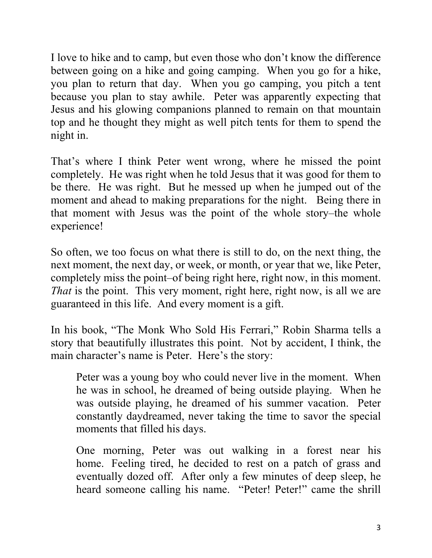I love to hike and to camp, but even those who don't know the difference between going on a hike and going camping. When you go for a hike, you plan to return that day. When you go camping, you pitch a tent because you plan to stay awhile. Peter was apparently expecting that Jesus and his glowing companions planned to remain on that mountain top and he thought they might as well pitch tents for them to spend the night in.

That's where I think Peter went wrong, where he missed the point completely. He was right when he told Jesus that it was good for them to be there. He was right. But he messed up when he jumped out of the moment and ahead to making preparations for the night. Being there in that moment with Jesus was the point of the whole story–the whole experience!

So often, we too focus on what there is still to do, on the next thing, the next moment, the next day, or week, or month, or year that we, like Peter, completely miss the point–of being right here, right now, in this moment. *That* is the point. This very moment, right here, right now, is all we are guaranteed in this life. And every moment is a gift.

In his book, ["The Monk Who Sold His Ferrari,](http://www.amazon.com/Monk-Who-Sold-His-Ferrari/dp/0062515675%3FSubscriptionId%3D0G81C5DAZ03ZR9WH9X82%26tag%3Dzemanta-20%26linkCode%3Dxm2%26camp%3D2025%26creative%3D165953%26creativeASIN%3D0062515675)" Robin Sharma tells a story that beautifully illustrates this point. Not by accident, I think, the main character's name is Peter. Here's the story:

Peter was a young boy who could never live in the moment. When he was in school, he dreamed of being outside playing. When he was outside playing, he dreamed of his summer vacation. Peter constantly daydreamed, never taking the time to savor the special moments that filled his days.

One morning, Peter was out walking in a forest near his home. Feeling tired, he decided to rest on a patch of grass and eventually dozed off. After only a few minutes of deep sleep, he heard someone calling his name. "Peter! Peter!" came the shrill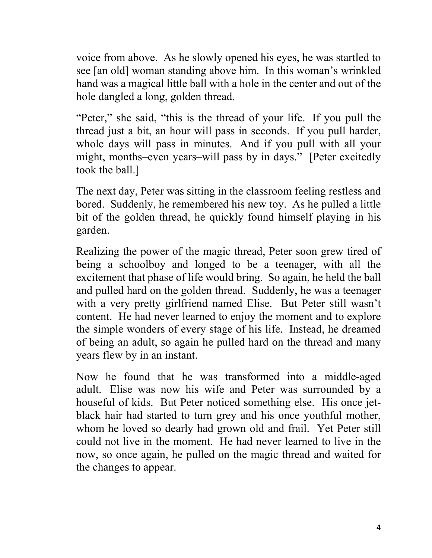voice from above. As he slowly opened his eyes, he was startled to see [an old] woman standing above him. In this woman's wrinkled hand was a magical little ball with a hole in the center and out of the hole dangled a long, golden thread.

"Peter," she said, "this is the thread of your life. If you pull the thread just a bit, an hour will pass in seconds. If you pull harder, whole days will pass in minutes. And if you pull with all your might, months–even years–will pass by in days." [Peter excitedly took the ball.]

The next day, Peter was sitting in the classroom feeling restless and bored. Suddenly, he remembered his new toy. As he pulled a little bit of the golden thread, he quickly found himself playing in his garden.

Realizing the power of the magic thread, Peter soon grew tired of being a schoolboy and longed to be a teenager, with all the excitement that phase of life would bring. So again, he held the ball and pulled hard on the golden thread. Suddenly, he was a teenager with a very pretty girlfriend named Elise. But Peter still wasn't content. He had never learned to enjoy the moment and to explore the simple wonders of every stage of his life. Instead, he dreamed of being an adult, so again he pulled hard on the thread and many years flew by in an instant.

Now he found that he was transformed into a middle-aged adult. Elise was now his wife and Peter was surrounded by a houseful of kids. But Peter noticed something else. His once jetblack hair had started to turn grey and his once youthful mother, whom he loved so dearly had grown old and frail. Yet Peter still could not live in the moment. He had never learned to live in the now, so once again, he pulled on the magic thread and waited for the changes to appear.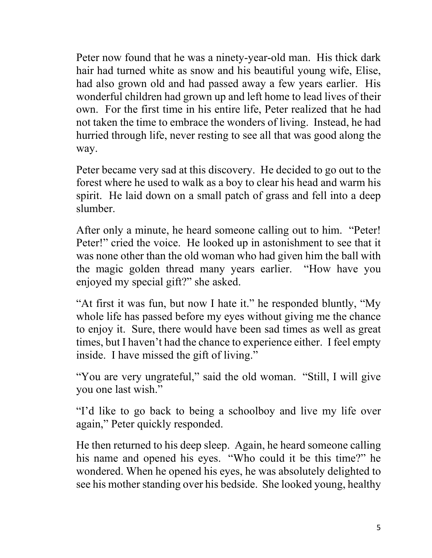Peter now found that he was a ninety-year-old man. His thick dark hair had turned white as snow and his beautiful young wife, Elise, had also grown old and had passed away a few years earlier. His wonderful children had grown up and left home to lead lives of their own. For the first time in his entire life, Peter realized that he had not taken the time to embrace the wonders of living. Instead, he had hurried through life, never resting to see all that was good along the way.

Peter became very sad at this discovery. He decided to go out to the forest where he used to walk as a boy to clear his head and warm his spirit. He laid down on a small patch of grass and fell into a deep slumber.

After only a minute, he heard someone calling out to him. "Peter! Peter!" cried the voice. He looked up in astonishment to see that it was none other than the old woman who had given him the ball with the magic golden thread many years earlier. "How have you enjoyed my special gift?" she asked.

"At first it was fun, but now I hate it." he responded bluntly, "My whole life has passed before my eyes without giving me the chance to enjoy it. Sure, there would have been sad times as well as great times, but I haven't had the chance to experience either. I feel empty inside. I have missed the gift of living."

"You are very ungrateful," said the old woman. "Still, I will give you one last wish."

"I'd like to go back to being a schoolboy and live my life over again," Peter quickly responded.

He then returned to his deep sleep. Again, he heard someone calling his name and opened his eyes. "Who could it be this time?" he wondered. When he opened his eyes, he was absolutely delighted to see his mother standing over his bedside. She looked young, healthy